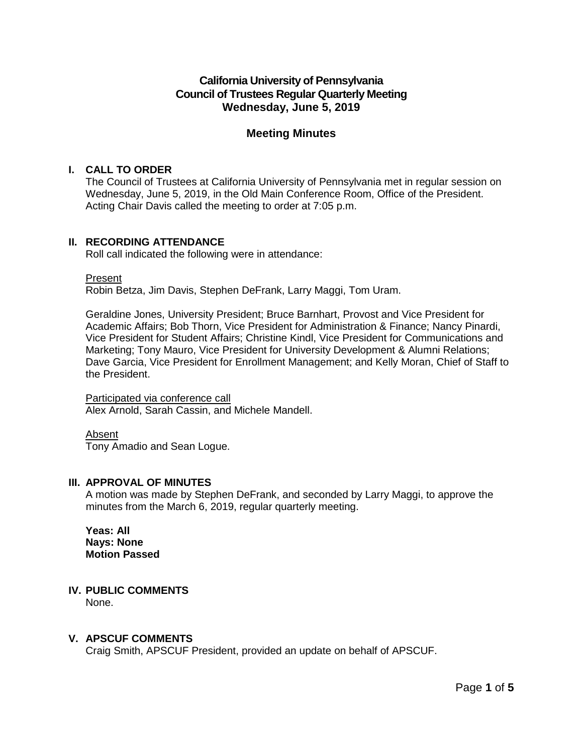# **California University of Pennsylvania Council of Trustees Regular Quarterly Meeting Wednesday, June 5, 2019**

# **Meeting Minutes**

# **I. CALL TO ORDER**

The Council of Trustees at California University of Pennsylvania met in regular session on Wednesday, June 5, 2019, in the Old Main Conference Room, Office of the President. Acting Chair Davis called the meeting to order at 7:05 p.m.

# **II. RECORDING ATTENDANCE**

Roll call indicated the following were in attendance:

Present

Robin Betza, Jim Davis, Stephen DeFrank, Larry Maggi, Tom Uram.

Geraldine Jones, University President; Bruce Barnhart, Provost and Vice President for Academic Affairs; Bob Thorn, Vice President for Administration & Finance; Nancy Pinardi, Vice President for Student Affairs; Christine Kindl, Vice President for Communications and Marketing; Tony Mauro, Vice President for University Development & Alumni Relations; Dave Garcia, Vice President for Enrollment Management; and Kelly Moran, Chief of Staff to the President.

Participated via conference call Alex Arnold, Sarah Cassin, and Michele Mandell.

Absent Tony Amadio and Sean Logue.

# **III. APPROVAL OF MINUTES**

A motion was made by Stephen DeFrank, and seconded by Larry Maggi, to approve the minutes from the March 6, 2019, regular quarterly meeting.

**Yeas: All Nays: None Motion Passed**

# **IV. PUBLIC COMMENTS**

None.

# **V. APSCUF COMMENTS**

Craig Smith, APSCUF President, provided an update on behalf of APSCUF.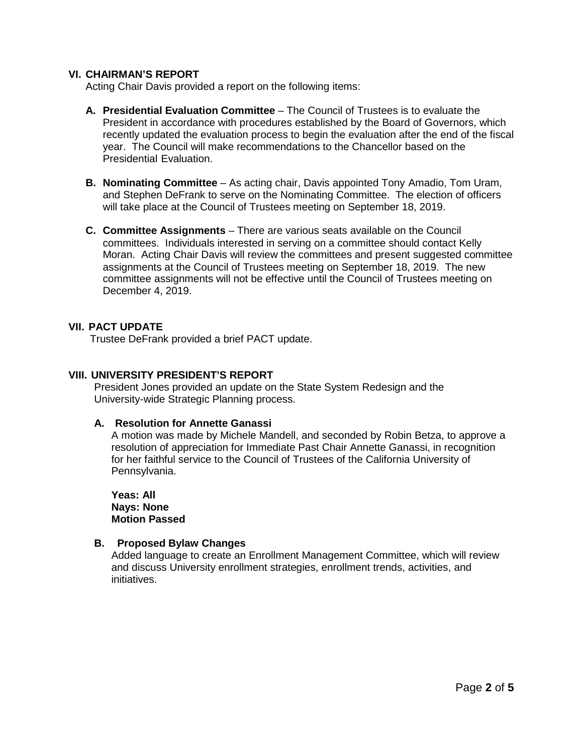## **VI. CHAIRMAN'S REPORT**

Acting Chair Davis provided a report on the following items:

- **A. Presidential Evaluation Committee** The Council of Trustees is to evaluate the President in accordance with procedures established by the Board of Governors, which recently updated the evaluation process to begin the evaluation after the end of the fiscal year. The Council will make recommendations to the Chancellor based on the Presidential Evaluation.
- **B. Nominating Committee** As acting chair, Davis appointed Tony Amadio, Tom Uram, and Stephen DeFrank to serve on the Nominating Committee. The election of officers will take place at the Council of Trustees meeting on September 18, 2019.
- **C. Committee Assignments** There are various seats available on the Council committees. Individuals interested in serving on a committee should contact Kelly Moran. Acting Chair Davis will review the committees and present suggested committee assignments at the Council of Trustees meeting on September 18, 2019. The new committee assignments will not be effective until the Council of Trustees meeting on December 4, 2019.

#### **VII. PACT UPDATE**

Trustee DeFrank provided a brief PACT update.

### **VIII. UNIVERSITY PRESIDENT'S REPORT**

President Jones provided an update on the State System Redesign and the University-wide Strategic Planning process.

#### **A. Resolution for Annette Ganassi**

A motion was made by Michele Mandell, and seconded by Robin Betza, to approve a resolution of appreciation for Immediate Past Chair Annette Ganassi, in recognition for her faithful service to the Council of Trustees of the California University of Pennsylvania.

**Yeas: All Nays: None Motion Passed**

#### **B. Proposed Bylaw Changes**

Added language to create an Enrollment Management Committee, which will review and discuss University enrollment strategies, enrollment trends, activities, and initiatives.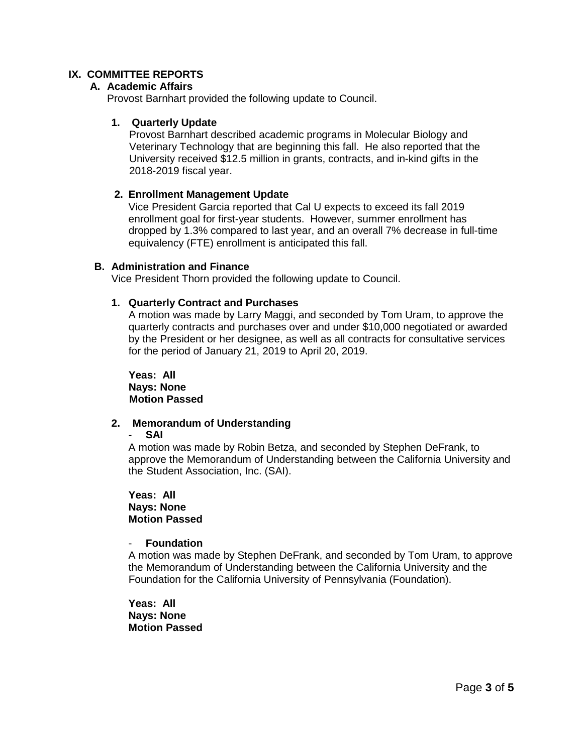# **IX. COMMITTEE REPORTS**

#### **A. Academic Affairs**

Provost Barnhart provided the following update to Council.

## **1. Quarterly Update**

Provost Barnhart described academic programs in Molecular Biology and Veterinary Technology that are beginning this fall. He also reported that the University received \$12.5 million in grants, contracts, and in-kind gifts in the 2018-2019 fiscal year.

## **2. Enrollment Management Update**

Vice President Garcia reported that Cal U expects to exceed its fall 2019 enrollment goal for first-year students. However, summer enrollment has dropped by 1.3% compared to last year, and an overall 7% decrease in full-time equivalency (FTE) enrollment is anticipated this fall.

#### **B. Administration and Finance**

Vice President Thorn provided the following update to Council.

## **1. Quarterly Contract and Purchases**

A motion was made by Larry Maggi, and seconded by Tom Uram, to approve the quarterly contracts and purchases over and under \$10,000 negotiated or awarded by the President or her designee, as well as all contracts for consultative services for the period of January 21, 2019 to April 20, 2019.

**Yeas: All Nays: None Motion Passed**

# **2. Memorandum of Understanding**

- **SAI**

A motion was made by Robin Betza, and seconded by Stephen DeFrank, to approve the Memorandum of Understanding between the California University and the Student Association, Inc. (SAI).

**Yeas: All Nays: None Motion Passed**

## - **Foundation**

A motion was made by Stephen DeFrank, and seconded by Tom Uram, to approve the Memorandum of Understanding between the California University and the Foundation for the California University of Pennsylvania (Foundation).

**Yeas: All Nays: None Motion Passed**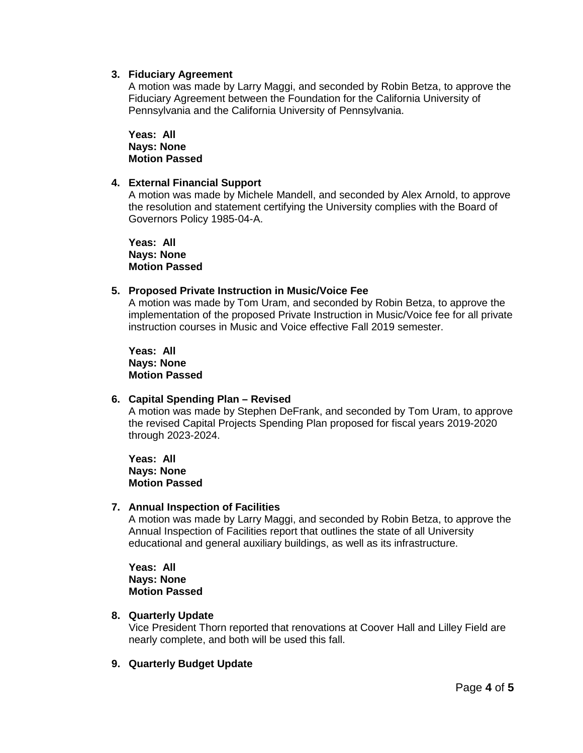## **3. Fiduciary Agreement**

A motion was made by Larry Maggi, and seconded by Robin Betza, to approve the Fiduciary Agreement between the Foundation for the California University of Pennsylvania and the California University of Pennsylvania.

**Yeas: All Nays: None Motion Passed**

## **4. External Financial Support**

A motion was made by Michele Mandell, and seconded by Alex Arnold, to approve the resolution and statement certifying the University complies with the Board of Governors Policy 1985-04-A.

**Yeas: All Nays: None Motion Passed**

## **5. Proposed Private Instruction in Music/Voice Fee**

A motion was made by Tom Uram, and seconded by Robin Betza, to approve the implementation of the proposed Private Instruction in Music/Voice fee for all private instruction courses in Music and Voice effective Fall 2019 semester.

**Yeas: All Nays: None Motion Passed**

#### **6. Capital Spending Plan – Revised**

A motion was made by Stephen DeFrank, and seconded by Tom Uram, to approve the revised Capital Projects Spending Plan proposed for fiscal years 2019-2020 through 2023-2024.

**Yeas: All Nays: None Motion Passed**

#### **7. Annual Inspection of Facilities**

A motion was made by Larry Maggi, and seconded by Robin Betza, to approve the Annual Inspection of Facilities report that outlines the state of all University educational and general auxiliary buildings, as well as its infrastructure.

**Yeas: All Nays: None Motion Passed**

# **8. Quarterly Update**

Vice President Thorn reported that renovations at Coover Hall and Lilley Field are nearly complete, and both will be used this fall.

# **9. Quarterly Budget Update**